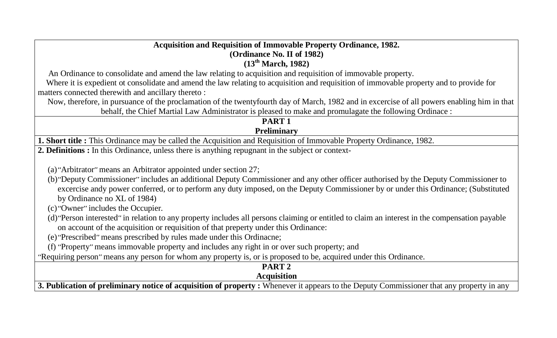## **Acquisition and Requisition of Immovable Property Ordinance, 1982. (Ordinance No. II of 1982) (13th March, 1982)**

An Ordinance to consolidate and amend the law relating to acquisition and requisition of immovable property.

 Where it is expedient ot consolidate and amend the law relating to acquisition and requisition of immovable property and to provide for matters connected therewith and ancillary thereto :

 Now, therefore, in pursuance of the proclamation of the twentyfourth day of March, 1982 and in excercise of all powers enabling him in that behalf, the Chief Martial Law Administrator is pleased to make and promulagate the following Ordinace :

#### **PART 1 Preliminary**

**1. Short title :** This Ordinance may be called the Acquisition and Requisition of Immovable Property Ordinance, 1982.

**2. Definitions :** In this Ordinance, unless there is anything repugnant in the subject or context-

(a)''Arbitrator'' means an Arbitrator appointed under section 27;

- (b)''Deputy Commissioner'' includes an additional Deputy Commissioner and any other officer authorised by the Deputy Commissioner to excercise andy power conferred, or to perform any duty imposed, on the Deputy Commissioner by or under this Ordinance; (Substituted by Ordinance no XL of 1984)
- (c)''Owner'' includes the Occupier.
- (d)''Person interested'' in relation to any property includes all persons claiming or entitled to claim an interest in the compensation payable on account of the acquisition or requisition of that preperty under this Ordinance:
- (e)''Prescribed'' means prescribed by rules made under this Ordinacne;
- (f) ''Property'' means immovable property and includes any right in or over such property; and

''Requiring person'' means any person for whom any property is, or is proposed to be, acquired under this Ordinance.

| <b>Publication of preliminary notice of acquisition of property:</b> Whenever it appears to the Deputy Commissioner that any property<br>in any |
|-------------------------------------------------------------------------------------------------------------------------------------------------|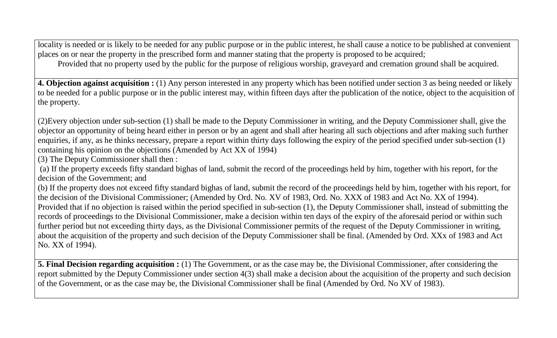locality is needed or is likely to be needed for any public purpose or in the public interest, he shall cause a notice to be published at convenient places on or near the property in the prescribed form and manner stating that the property is proposed to be acquired; Provided that no property used by the public for the purpose of religious worship, graveyard and cremation ground shall be acquired.

**4. Objection against acquisition :** (1) Any person interested in any property which has been notified under section 3 as being needed or likely to be needed for a public purpose or in the public interest may, within fifteen days after the publication of the notice, object to the acquisition of the property.

(2)Every objection under sub-section (1) shall be made to the Deputy Commissioner in writing, and the Deputy Commissioner shall, give the objector an opportunity of being heard either in person or by an agent and shall after hearing all such objections and after making such further enquiries, if any, as he thinks necessary, prepare a report within thirty days following the expiry of the period specified under sub-section (1) containing his opinion on the objections (Amended by Act XX of 1994)

(3) The Deputy Commissioner shall then :

(a) If the property exceeds fifty standard bighas of land, submit the record of the proceedings held by him, together with his report, for the decision of the Government; and

(b) If the property does not exceed fifty standard bighas of land, submit the record of the proceedings held by him, together with his report, for the decision of the Divisional Commissioner; (Amended by Ord. No. XV of 1983, Ord. No. XXX of 1983 and Act No. XX of 1994). Provided that if no objection is raised within the period specified in sub-section (1), the Deputy Commissioner shall, instead of submitting the records of proceedings to the Divisional Commissioner, make a decision within ten days of the expiry of the aforesaid period or within such further period but not exceeding thirty days, as the Divisional Commissioner permits of the request of the Deputy Commissioner in writing, about the acquisition of the property and such decision of the Deputy Commissioner shall be final. (Amended by Ord. XXx of 1983 and Act No. XX of 1994).

**5. Final Decision regarding acquisition :** (1) The Government, or as the case may be, the Divisional Commissioner, after considering the report submitted by the Deputy Commissioner under section 4(3) shall make a decision about the acquisition of the property and such decision of the Government, or as the case may be, the Divisional Commissioner shall be final (Amended by Ord. No XV of 1983).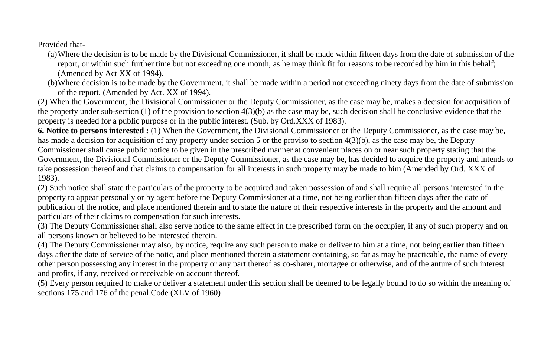Provided that-

- (a)Where the decision is to be made by the Divisional Commissioner, it shall be made within fifteen days from the date of submission of the report, or within such further time but not exceeding one month, as he may think fit for reasons to be recorded by him in this behalf; (Amended by Act XX of 1994).
- (b)Where decision is to be made by the Government, it shall be made within a period not exceeding ninety days from the date of submission of the report. (Amended by Act. XX of 1994).

(2) When the Government, the Divisional Commissioner or the Deputy Commissioner, as the case may be, makes a decision for acquisition of the property under sub-section (1) of the provision to section 4(3)(b) as the case may be, such decision shall be conclusive evidence that the property is needed for a public purpose or in the public interest. (Sub. by Ord.XXX of 1983).

**6. Notice to persons interested :** (1) When the Government, the Divisional Commissioner or the Deputy Commissioner, as the case may be, has made a decision for acquisition of any property under section 5 or the proviso to section 4(3)(b), as the case may be, the Deputy Commissioner shall cause public notice to be given in the prescribed manner at convenient places on or near such property stating that the Government, the Divisional Commissioner or the Deputy Commissioner, as the case may be, has decided to acquire the property and intends to take possession thereof and that claims to compensation for all interests in such property may be made to him (Amended by Ord. XXX of 1983).

(2) Such notice shall state the particulars of the property to be acquired and taken possession of and shall require all persons interested in the property to appear personally or by agent before the Deputy Commissioner at a time, not being earlier than fifteen days after the date of publication of the notice, and place mentioned therein and to state the nature of their respective interests in the property and the amount and particulars of their claims to compensation for such interests.

(3) The Deputy Commissioner shall also serve notice to the same effect in the prescribed form on the occupier, if any of such property and on all persons known or believed to be interested therein.

(4) The Deputy Commissioner may also, by notice, require any such person to make or deliver to him at a time, not being earlier than fifteen days after the date of service of the notic, and place mentioned therein a statement containing, so far as may be practicable, the name of every other person possessing any interest in the property or any part thereof as co-sharer, mortagee or otherwise, and of the anture of such interest and profits, if any, received or receivable on account thereof.

(5) Every person required to make or deliver a statement under this section shall be deemed to be legally bound to do so within the meaning of sections 175 and 176 of the penal Code (XLV of 1960)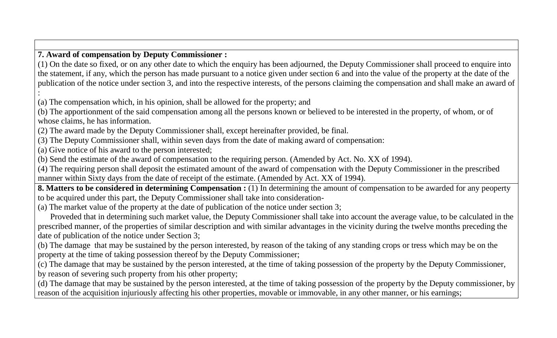### **7. Award of compensation by Deputy Commissioner :**

(1) On the date so fixed, or on any other date to which the enquiry has been adjourned, the Deputy Commissioner shall proceed to enquire into the statement, if any, which the person has made pursuant to a notice given under section 6 and into the value of the property at the date of the publication of the notice under section 3, and into the respective interests, of the persons claiming the compensation and shall make an award of

: (a) The compensation which, in his opinion, shall be allowed for the property; and

(b) The apportionment of the said compensation among all the persons known or believed to be interested in the property, of whom, or of whose claims, he has information.

(2) The award made by the Deputy Commissioner shall, except hereinafter provided, be final.

(3) The Deputy Commissioner shall, within seven days from the date of making award of compensation:

(a) Give notice of his award to the person interested;

(b) Send the estimate of the award of compensation to the requiring person. (Amended by Act. No. XX of 1994).

(4) The requiring person shall deposit the estimated amount of the award of compensation with the Deputy Commissioner in the prescribed manner within Sixty days from the date of receipt of the estimate. (Amended by Act. XX of 1994).

**8. Matters to be considered in determining Compensation :** (1) In determining the amount of compensation to be awarded for any peoperty to be acquired under this part, the Deputy Commissioner shall take into consideration-

(a) The market value of the property at the date of publication of the notice under section 3;

 Proveded that in determining such market value, the Deputy Commissioner shall take into account the average value, to be calculated in the prescribed manner, of the properties of similar description and with similar advantages in the vicinity during the twelve months preceding the date of publication of the notice under Section 3;

(b) The damage that may be sustained by the person interested, by reason of the taking of any standing crops or tress which may be on the property at the time of taking possession thereof by the Deputy Commissioner;

(c) The damage that may be sustained by the person interested, at the time of taking possession of the property by the Deputy Commissioner, by reason of severing such property from his other property;

(d) The damage that may be sustained by the person interested, at the time of taking possession of the property by the Deputy commissioner, by reason of the acquisition injuriously affecting his other properties, movable or immovable, in any other manner, or his earnings;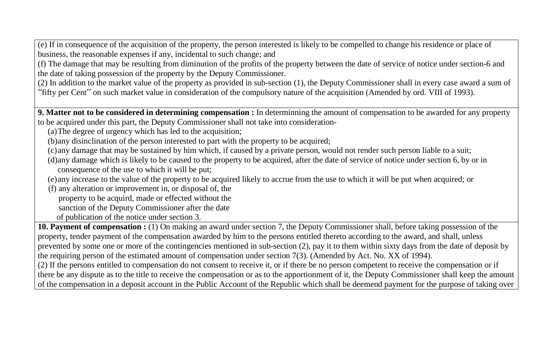(e) If in consequence of the acquisition of the property, the person interested is likely to be compelled to change his residence or place of business, the reasonable expenses if any, incidental to such change; and

(f) The damage that may be resulting from diminution of the profits of the property between the date of service of notice under section-6 and the date of taking possession of the property by the Deputy Commissioner.

(2) In addition to the market value of the property as provided in sub-section (1), the Deputy Commissioner shall in every case award a sum of ''fifty per Cent'' on such market value in consideration of the compulsory nature of the acquisition (Amended by ord. VIII of 1993).

**9. Matter not to be considered in determining compensation :** In determinning the amount of compensation to be awarded for any property to be acquired under this part, the Deputy Commissioner shall not take into consideration-

(a)The degree of urgency which has led to the acquisition;

(b)any disinclination of the person interested to part with the property to be acquired;

(c)any damage that may be sustained by him which, if caused by a private person, would not render such person liable to a suit;

- (d)any damage which is likely to be caused to the property to be acquired, after the date of service of notice under section 6, by or in consequence of the use to which it will be put;
- (e)any increase to the value of the property to be acquired likely to accrue from the use to which it will be put when acquired; or

 (f) any alteration or improvement in, or disposal of, the property to be acquird, made or effected without the sanction of the Deputy Commissioner after the date of publication of the notice under section 3.

**10. Payment of compensation :** (1) On making an award under section 7, the Deputy Commissioner shall, before taking possession of the property, tender payment of the compensation awarded by him to the persons entitled thereto according to the award, and shall, unless prevented by some one or more of the contingencies mentioned in sub-section (2), pay it to them within sixty days from the date of deposit by the requiring person of the estimated amount of compensation under section 7(3). (Amended by Act. No. XX of 1994). (2) If the persons entitled to compensation do not consent to receive it, or if there be no person competent to receive the compensation or if

there be any dispute as to the title to receive the compensation or as to the apportionment of it, the Deputy Commissioner shall keep the amount of the compensation in a deposit account in the Public Account of the Republic which shall be deemend payment for the purpose of taking over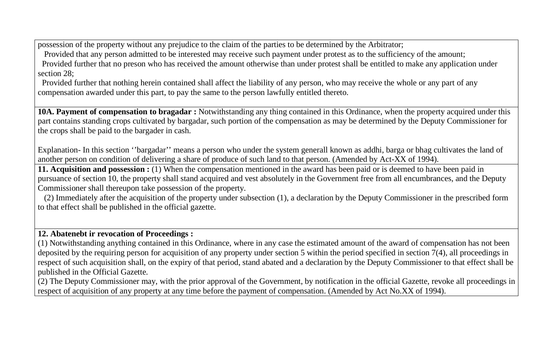possession of the property without any prejudice to the claim of the parties to be determined by the Arbitrator;

 Provided that any person admitted to be interested may receive such payment under protest as to the sufficiency of the amount; Provided further that no preson who has received the amount otherwise than under protest shall be entitled to make any application under section 28;

 Provided further that nothing herein contained shall affect the liability of any person, who may receive the whole or any part of any compensation awarded under this part, to pay the same to the person lawfully entitled thereto.

**10A. Payment of compensation to bragadar :** Notwithstanding any thing contained in this Ordinance, when the property acquired under this part contains standing crops cultivated by bargadar, such portion of the compensation as may be determined by the Deputy Commissioner for the crops shall be paid to the bargader in cash.

Explanation- In this section ''bargadar'' means a person who under the system generall known as addhi, barga or bhag cultivates the land of another person on condition of delivering a share of produce of such land to that person. (Amended by Act-XX of 1994).

**11. Acquisition and possession :** (1) When the compensation mentioned in the award has been paid or is deemed to have been paid in pursuance of section 10, the property shall stand acquired and vest absolutely in the Government free from all encumbrances, and the Deputy Commissioner shall thereupon take possession of the property.

 (2) Immediately after the acquisition of the property under subsection (1), a declaration by the Deputy Commissioner in the prescribed form to that effect shall be published in the official gazette.

# **12. Abatenebt ir revocation of Proceedings :**

(1) Notwithstanding anything contained in this Ordinance, where in any case the estimated amount of the award of compensation has not been deposited by the requiring person for acquisition of any property under section 5 within the period specified in section 7(4), all proceedings in respect of such acquisition shall, on the expiry of that period, stand abated and a declaration by the Deputy Commissioner to that effect shall be published in the Official Gazette.

(2) The Deputy Commissioner may, with the prior approval of the Government, by notification in the official Gazette, revoke all proceedings in respect of acquisition of any property at any time before the payment of compensation. (Amended by Act No.XX of 1994).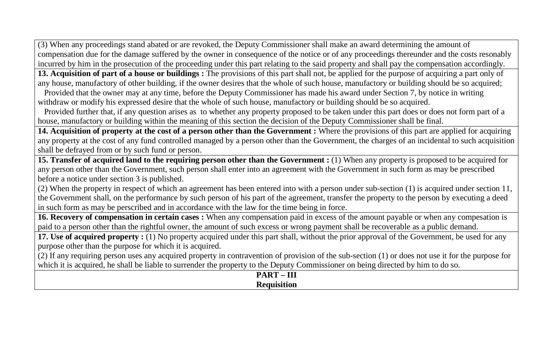(3) When any proceedings stand abated or are revoked, the Deputy Commissioner shall make an award determining the amount of compensation due for the damage suffered by the owner in consequence of the notice or of any proceedings thereunder and the costs resonably incurred by him in the prosecution of the proceeding under this part relating to the said property and shall pay the compensation accordingly.

**13. Acquisition of part of a house or buildings:** The provisions of this part shall not, be applied for the purpose of acquiring a part only of any house, manufactory of other building, if the owner desires that the whole of such house, manufactory or building should be so acquired;

 Provided that the owner may at any time, before the Deputy Commissioner has made his award under Section 7, by notice in writing withdraw or modify his expressed desire that the whole of such house, manufactory or building should be so acquired.

 Provided further that, if any question arises as to whether any property proposed to be taken under this part does or does not form part of a house, manufactory or building within the meaning of this section the decision of the Deputy Commissioner shall be final.

**14. Acquisition of property at the cost of a person other than the Government :** Where the provisions of this part are applied for acquiring any property at the cost of any fund controlled managed by a person other than the Government, the charges of an incidental to such acquisition shall be defrayed from or by such fund or person.

**15. Transfer of acquired land to the requiring person other than the Government :** (1) When any property is proposed to be acquired for any person other than the Government, such person shall enter into an agreement with the Government in such form as may be prescribed before a notice under section 3 is published.

(2) When the property in respect of which an agreement has been entered into with a person under sub-section (1) is acquired under section 11, the Government shall, on the performance by such person of his part of the agreement, transfer the property to the person by executing a deed in such form as may be perscribed and in accordance with the law for the time being in force.

**16. Recovery of compensation in certain cases :** When any compensation paid in excess of the amount payable or when any compesation is paid to a person other than the rightful owner, the amount of such excess or wrong payment shall be recoverable as a public demand.

**17. Use of acquired property :** (1) No property acquired under this part shall, without the prior approval of the Government, be used for any purpose other than the purpose for which it is acquired.

(2) If any requiring person uses any acquired property in contravention of provision of the sub-section (1) or does not use it for the purpose for which it is acquired, he shall be liable to surrender the property to the Deputy Commissioner on being directed by him to do so.

> **PART – III Requisition**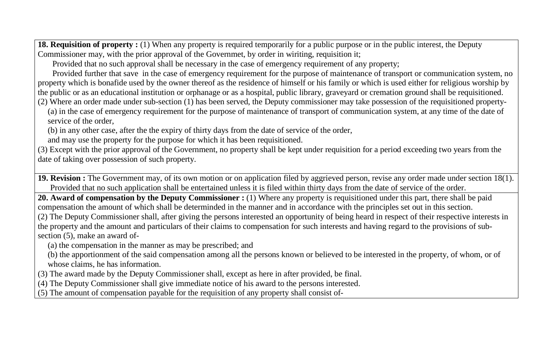**18. Requisition of property :** (1) When any property is required temporarily for a public purpose or in the public interest, the Deputy Commissioner may, with the prior approval of the Governmet, by order in wiriting, requisition it;

Provided that no such approval shall be necessary in the case of emergency requirement of any property;

 Provided further that save in the case of emergency requirement for the purpose of maintenance of transport or communication system, no property which is bonafide used by the owner thereof as the residence of himself or his family or which is used either for religious worship by the public or as an educational institution or orphanage or as a hospital, public library, graveyard or cremation ground shall be requisitioned.

(2) Where an order made under sub-section (1) has been served, the Deputy commissioner may take possession of the requisitioned property-

(a) in the case of emergency requirement for the purpose of maintenance of transport of communication system, at any time of the date of service of the order,

(b) in any other case, after the the expiry of thirty days from the date of service of the order,

and may use the property for the purpose for which it has been requisitioned.

(3) Except with the prior approval of the Government, no property shall be kept under requisition for a period exceeding two years from the date of taking over possession of such property.

**19. Revision :** The Government may, of its own motion or on application filed by aggrieved person, revise any order made under section 18(1). Provided that no such application shall be entertained unless it is filed within thirty days from the date of service of the order.

**20. Award of compensation by the Deputy Commissioner :** (1) Where any property is requisitioned under this part, there shall be paid compensation the amount of which shall be determinded in the manner and in accordance with the principles set out in this section. (2) The Deputy Commissioner shall, after giving the persons interested an opportunity of being heard in respect of their respective interests in the property and the amount and particulars of their claims to compensation for such interests and having regard to the provisions of subsection (5), make an award of-

(a) the compensation in the manner as may be prescribed; and

- (b) the apportionment of the said compensation among all the persons known or believed to be interested in the property, of whom, or of whose claims, he has information.
- (3) The award made by the Deputy Commissioner shall, except as here in after provided, be final.
- (4) The Deputy Commissioner shall give immediate notice of his award to the persons interested.
- (5) The amount of compensation payable for the requisition of any property shall consist of-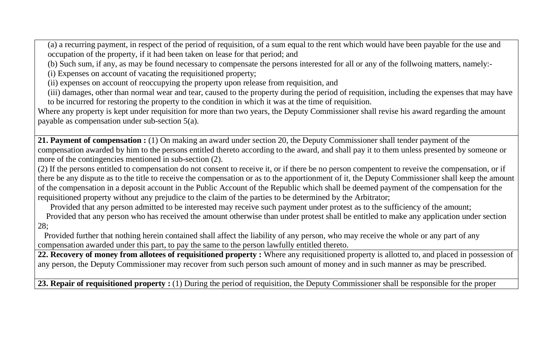(a) a recurring payment, in respect of the period of requisition, of a sum equal to the rent which would have been payable for the use and occupation of the property, if it had been taken on lease for that period; and

(b) Such sum, if any, as may be found necessary to compensate the persons interested for all or any of the follwoing matters, namely:-

(i) Expenses on account of vacating the requisitioned property;

(ii) expenses on account of reoccupying the property upon release from requisition, and

(iii) damages, other than normal wear and tear, caused to the property during the period of requisition, including the expenses that may have to be incurred for restoring the property to the condition in which it was at the time of requisition.

Where any property is kept under requisition for more than two years, the Deputy Commissioner shall revise his award regarding the amount payable as compensation under sub-section 5(a).

**21. Payment of compensation :** (1) On making an award under section 20, the Deputy Commissioner shall tender payment of the compensation awarded by him to the persons entitled thereto according to the award, and shall pay it to them unless presented by someone or more of the contingencies mentioned in sub-section (2).

(2) If the persons entitled to compensation do not consent to receive it, or if there be no person compentent to reveive the compensation, or if there be any dispute as to the title to receive the compensation or as to the apportionment of it, the Deputy Commissioner shall keep the amount of the compensation in a deposit account in the Public Account of the Republic which shall be deemed payment of the compensation for the requisitioned property without any prejudice to the claim of the parties to be determined by the Arbitrator;

Provided that any person admitted to be interested may receive such payment under protest as to the sufficiency of the amount;

 Provided that any person who has received the amount otherwise than under protest shall be entitled to make any application under section 28;

 Provided further that nothing herein contained shall affect the liability of any person, who may receive the whole or any part of any compensation awarded under this part, to pay the same to the person lawfully entitled thereto.

**22. Recovery of money from allotees of requisitioned property :** Where any requisitioned property is allotted to, and placed in possession of any person, the Deputy Commissioner may recover from such person such amount of money and in such manner as may be prescribed.

23. Repair of requisitioned property : (1) During the period of requisition, the Deputy Commissioner shall be responsible for the proper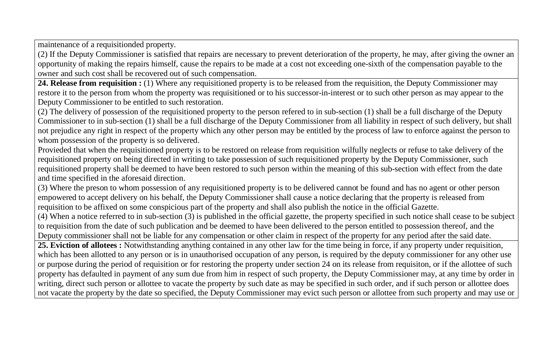maintenance of a requisitionded property.

(2) If the Deputy Commissioner is satisfied that repairs are necessary to prevent deterioration of the property, he may, after giving the owner an opportunity of making the repairs himself, cause the repairs to be made at a cost not exceeding one-sixth of the compensation payable to the owner and such cost shall be recovered out of such compensation.

24. Release from requisition : (1) Where any requisitioned property is to be released from the requisition, the Deputy Commissioner may restore it to the person from whom the property was requisitioned or to his successor-in-interest or to such other person as may appear to the Deputy Commissioner to be entitled to such restoration.

(2) The delivery of possession of the requisitioned property to the person refered to in sub-section (1) shall be a full discharge of the Deputy Commissioner to in sub-section (1) shall be a full discharge of the Deputy Commissioner from all liability in respect of such delivery, but shall not prejudice any right in respect of the property which any other person may be entitled by the process of law to enforce against the person to whom possession of the property is so delivered.

Provieded that when the requisitioned property is to be restored on release from requisition wilfully neglects or refuse to take delivery of the requisitioned property on being directed in writing to take possession of such requisitioned property by the Deputy Commissioner, such requisitioned property shall be deemed to have been restored to such person within the meaning of this sub-section with effect from the date and time specified in the aforesaid direction.

(3) Where the preson to whom possession of any requisitioned property is to be delivered cannot be found and has no agent or other person empowered to accept delivery on his behalf, the Deputy Commissioner shall cause a notice declaring that the property is released from requisition to be affixed on some conspicious part of the property and shall also publish the notice in the official Gazette.

(4) When a notice referred to in sub-section (3) is published in the official gazette, the property specified in such notice shall cease to be subject to requisition from the date of such publication and be deemed to have been delivered to the person entitled to possession thereof, and the Deputy commissioner shall not be liable for any compensation or other claim in respect of the property for any period after the said date.

**25. Eviction of allotees :** Notwithstanding anything contained in any other law for the time being in force, if any property under requisition, which has been allotted to any person or is in unauthorised occupation of any person, is required by the deputy commissioner for any other use or purpose during the period of requisition or for restoring the property under section 24 on its release from requisiton, or if the allottee of such property has defaulted in payment of any sum due from him in respect of such property, the Deputy Commissioner may, at any time by order in writing, direct such person or allottee to vacate the property by such date as may be specified in such order, and if such person or allottee does not vacate the property by the date so specified, the Deputy Commissioner may evict such person or allottee from such property and may use or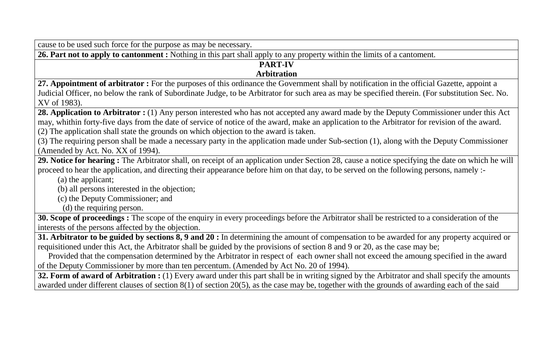cause to be used such force for the purpose as may be necessary.

**26. Part not to apply to cantonment :** Nothing in this part shall apply to any property within the limits of a cantoment.

#### **PART-IV Arbitration**

## **27. Appointment of arbitrator :** For the purposes of this ordinance the Government shall by notification in the official Gazette, appoint a Judicial Officer, no below the rank of Subordinate Judge, to be Arbitrator for such area as may be specified therein. (For substitution Sec. No. XV of 1983).

28. Application to Arbitrator : (1) Any person interested who has not accepted any award made by the Deputy Commissioner under this Act may, whithin forty-five days from the date of service of notice of the award, make an application to the Arbitrator for revision of the award. (2) The application shall state the grounds on which objection to the award is taken.

(3) The requiring person shall be made a necessary party in the application made under Sub-section (1), along with the Deputy Commissioner (Amended by Act. No. XX of 1994).

**29. Notice for hearing :** The Arbitrator shall, on receipt of an application under Section 28, cause a notice specifying the date on which he will proceed to hear the application, and directing their appearance before him on that day, to be served on the following persons, namely :-

(a) the applicant;

(b) all persons interested in the objection;

(c) the Deputy Commissioner; and

(d) the requiring person.

**30. Scope of proceedings :** The scope of the enquiry in every proceedings before the Arbitrator shall be restricted to a consideration of the interests of the persons affected by the objection.

**31. Arbitrator to be guided by sections 8, 9 and 20 :** In determining the amount of compensation to be awarded for any property acquired or requisitioned under this Act, the Arbitrator shall be guided by the provisions of section 8 and 9 or 20, as the case may be;

 Provided that the compensation determined by the Arbitrator in respect of each owner shall not exceed the amoung specified in the award of the Deputy Commissioner by more than ten percentum. (Amended by Act No. 20 of 1994).

**32. Form of award of Arbitration :** (1) Every award under this part shall be in writing signed by the Arbitrator and shall specify the amounts awarded under different clauses of section 8(1) of section 20(5), as the case may be, together with the grounds of awarding each of the said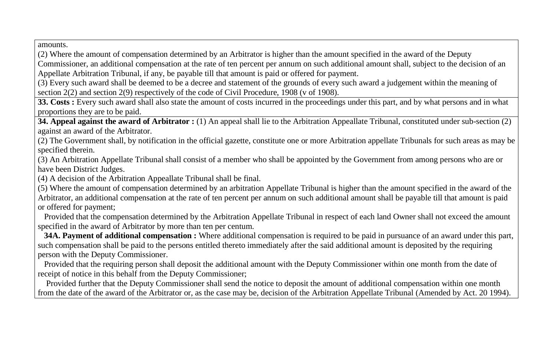amounts.

(2) Where the amount of compensation determined by an Arbitrator is higher than the amount specified in the award of the Deputy Commissioner, an additional compensation at the rate of ten percent per annum on such additional amount shall, subject to the decision of an Appellate Arbitration Tribunal, if any, be payable till that amount is paid or offered for payment.

(3) Every such award shall be deemed to be a decree and statement of the grounds of every such award a judgement within the meaning of section 2(2) and section 2(9) respectively of the code of Civil Procedure, 1908 (v of 1908).

**33. Costs :** Every such award shall also state the amount of costs incurred in the proceedings under this part, and by what persons and in what proportions they are to be paid.

**34. Appeal against the award of Arbitrator :** (1) An appeal shall lie to the Arbitration Appeallate Tribunal, constituted under sub-section (2) against an award of the Arbitrator.

(2) The Government shall, by notification in the official gazette, constitute one or more Arbitration appellate Tribunals for such areas as may be specified therein.

(3) An Arbitration Appellate Tribunal shall consist of a member who shall be appointed by the Government from among persons who are or have been District Judges.

(4) A decision of the Arbitration Appeallate Tribunal shall be final.

(5) Where the amount of compensation determined by an arbitration Appellate Tribunal is higher than the amount specified in the award of the Arbitrator, an additional compensation at the rate of ten percent per annum on such additional amount shall be payable till that amount is paid or offered for payment;

 Provided that the compensation determined by the Arbitration Appellate Tribunal in respect of each land Owner shall not exceed the amount specified in the award of Arbitrator by more than ten per centum.

 **34A. Payment of additional compensation :** Where additional compensation is required to be paid in pursuance of an award under this part, such compensation shall be paid to the persons entitled thereto immediately after the said additional amount is deposited by the requiring person with the Deputy Commissioner.

 Provided that the requiring person shall deposit the additional amount with the Deputy Commissioner within one month from the date of receipt of notice in this behalf from the Deputy Commissioner;

 Provided further that the Deputy Commissioner shall send the notice to deposit the amount of additional compensation within one month from the date of the award of the Arbitrator or, as the case may be, decision of the Arbitration Appellate Tribunal (Amended by Act. 20 1994).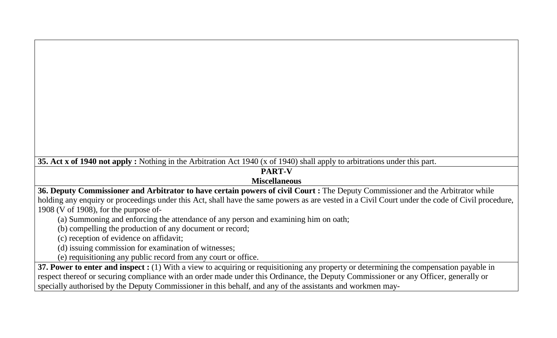**35. Act x of 1940 not apply :** Nothing in the Arbitration Act 1940 (x of 1940) shall apply to arbitrations under this part.

# **PART-V**

### **Miscellaneous**

**36. Deputy Commissioner and Arbitrator to have certain powers of civil Court :** The Deputy Commissioner and the Arbitrator while holding any enquiry or proceedings under this Act, shall have the same powers as are vested in a Civil Court under the code of Civil procedure, 1908 (V of 1908), for the purpose of-

(a) Summoning and enforcing the attendance of any person and examining him on oath;

(b) compelling the production of any document or record;

(c) reception of evidence on affidavit;

(d) issuing commission for examination of witnesses;

(e) requisitioning any public record from any court or office.

**37. Power to enter and inspect :** (1) With a view to acquiring or requisitioning any property or determining the compensation payable in respect thereof or securing compliance with an order made under this Ordinance, the Deputy Commissioner or any Officer, generally or specially authorised by the Deputy Commissioner in this behalf, and any of the assistants and workmen may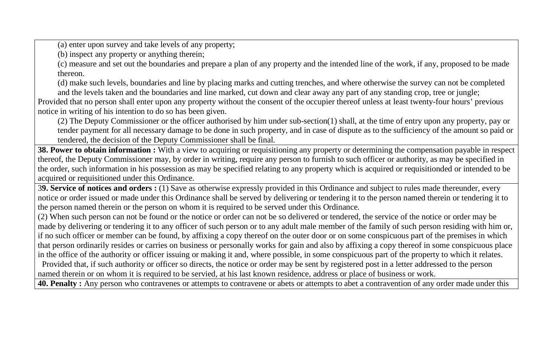(a) enter upon survey and take levels of any property;

(b) inspect any property or anything therein;

(c) measure and set out the boundaries and prepare a plan of any property and the intended line of the work, if any, proposed to be made thereon.

(d) make such levels, boundaries and line by placing marks and cutting trenches, and where otherwise the survey can not be completed and the levels taken and the boundaries and line marked, cut down and clear away any part of any standing crop, tree or jungle;

Provided that no person shall enter upon any property without the consent of the occupier thereof unless at least twenty-four hours' previous notice in writing of his intention to do so has been given.

(2) The Deputy Commissioner or the officer authorised by him under sub-section(1) shall, at the time of entry upon any property, pay or tender payment for all necessary damage to be done in such property, and in case of dispute as to the sufficiency of the amount so paid or tendered, the decision of the Deputy Commissioner shall be final.

**38. Power to obtain information :** With a view to acquiring or requisitioning any property or determining the compensation payable in respect thereof, the Deputy Commissioner may, by order in writing, require any person to furnish to such officer or authority, as may be specified in the order, such information in his possession as may be specified relating to any property which is acquired or requisitionded or intended to be acquired or requisitioned under this Ordinance.

3**9. Service of notices and orders :** (1) Save as otherwise expressly provided in this Ordinance and subject to rules made thereunder, every notice or order issued or made under this Ordinance shall be served by delivering or tendering it to the person named therein or tendering it to the person named therein or the person on whom it is required to be served under this Ordinance.

(2) When such person can not be found or the notice or order can not be so delivered or tendered, the service of the notice or order may be made by delivering or tendering it to any officer of such person or to any adult male member of the family of such person residing with him or, if no such officer or member can be found, by affixing a copy thereof on the outer door or on some conspicuous part of the premises in which that person ordinarily resides or carries on business or personally works for gain and also by affixing a copy thereof in some conspicuous place in the office of the authority or officer issuing or making it and, where possible, in some conspicuous part of the property to which it relates.

 Provided that, if such authority or officer so directs, the notice or order may be sent by registered post in a letter addressed to the person named therein or on whom it is required to be servied, at his last known residence, address or place of business or work.

**40. Penalty :** Any person who contravenes or attempts to contravene or abets or attempts to abet a contravention of any order made under this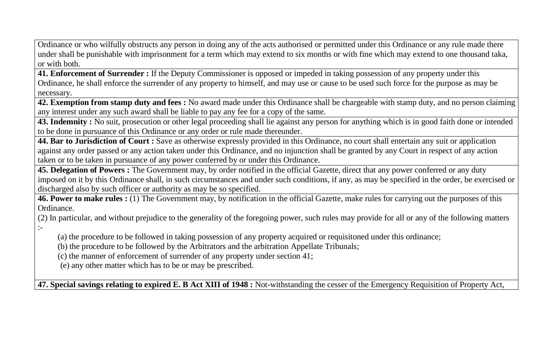Ordinance or who wilfully obstructs any person in doing any of the acts authorised or permitted under this Ordinance or any rule made there under shall be punishable with imprisonment for a term which may extend to six months or with fine which may extend to one thousand taka, or with both.

**41. Enforcement of Surrender :** If the Deputy Commissioner is opposed or impeded in taking possession of any property under this Ordinance, he shall enforce the surrender of any property to himself, and may use or cause to be used such force for the purpose as may be necessary.

**42. Exemption from stamp duty and fees :** No award made under this Ordinance shall be chargeable with stamp duty, and no person claiming any interest under any such award shall be liable to pay any fee for a copy of the same.

**43. Indemnity :** No suit, prosecution or other legal proceeding shall lie against any person for anything which is in good faith done or intended to be done in pursuance of this Ordinance or any order or rule made thereunder.

**44. Bar to Jurisdiction of Court :** Save as otherwise expressly provided in this Ordinance, no court shall entertain any suit or application against any order passed or any action taken under this Ordinance, and no injunction shall be granted by any Court in respect of any action taken or to be taken in pursuance of any power conferred by or under this Ordinance.

**45. Delegation of Powers :** The Government may, by order notified in the official Gazette, direct that any power conferred or any duty imposed on it by this Ordinance shall, in such circumstances and under such conditions, if any, as may be specified in the order, be exercised or discharged also by such officer or authority as may be so specified.

**46. Power to make rules :** (1) The Government may, by notification in the official Gazette, make rules for carrying out the purposes of this Ordinance.

(2) In particular, and without prejudice to the generality of the foregoing power, such rules may provide for all or any of the following matters :-

(a) the procedure to be followed in taking possession of any property acquired or requisitoned under this ordinance;

(b) the procedure to be followed by the Arbitrators and the arbitration Appellate Tribunals;

(c) the manner of enforcement of surrender of any property under section 41;

(e) any other matter which has to be or may be prescribed.

**47. Special savings relating to expired E. B Act XIII of 1948 :** Not-withstanding the cesser of the Emergency Requisition of Property Act,